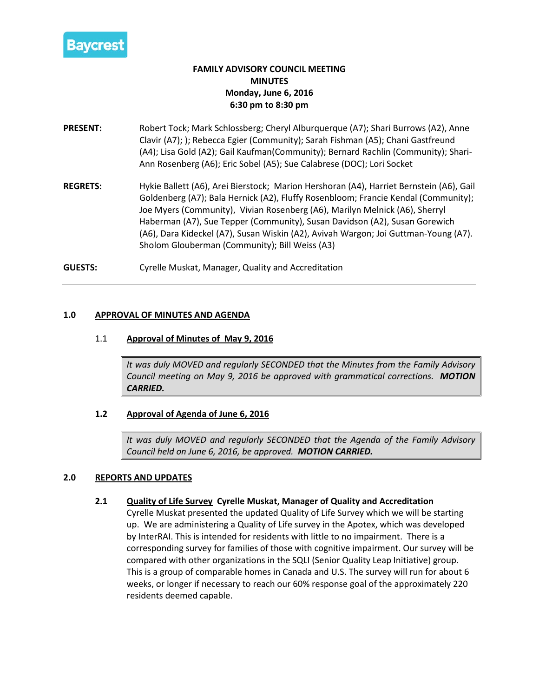

# **FAMILY ADVISORY COUNCIL MEETING MINUTES Monday, June 6, 2016 6:30 pm to 8:30 pm**

- **PRESENT:** Robert Tock; Mark Schlossberg; Cheryl Alburquerque (A7); Shari Burrows (A2), Anne Clavir (A7); ); Rebecca Egier (Community); Sarah Fishman (A5); Chani Gastfreund (A4); Lisa Gold (A2); Gail Kaufman(Community); Bernard Rachlin (Community); Shari-Ann Rosenberg (A6); Eric Sobel (A5); Sue Calabrese (DOC); Lori Socket
- **REGRETS:** Hykie Ballett (A6), Arei Bierstock; Marion Hershoran (A4), Harriet Bernstein (A6), Gail Goldenberg (A7); Bala Hernick (A2), Fluffy Rosenbloom; Francie Kendal (Community); Joe Myers (Community), Vivian Rosenberg (A6), Marilyn Melnick (A6), Sherryl Haberman (A7), Sue Tepper (Community), Susan Davidson (A2), Susan Gorewich (A6), Dara Kideckel (A7), Susan Wiskin (A2), Avivah Wargon; Joi Guttman-Young (A7). Sholom Glouberman (Community); Bill Weiss (A3)

**GUESTS:** Cyrelle Muskat, Manager, Quality and Accreditation

### **1.0 APPROVAL OF MINUTES AND AGENDA**

### 1.1 **Approval of Minutes of May 9, 2016**

*It was duly MOVED and regularly SECONDED that the Minutes from the Family Advisory Council meeting on May 9, 2016 be approved with grammatical corrections. MOTION CARRIED.*

#### **1.2 Approval of Agenda of June 6, 2016**

*It was duly MOVED and regularly SECONDED that the Agenda of the Family Advisory Council held on June 6, 2016, be approved. MOTION CARRIED.*

#### **2.0 REPORTS AND UPDATES**

# **2.1 Quality of Life Survey Cyrelle Muskat, Manager of Quality and Accreditation**

Cyrelle Muskat presented the updated Quality of Life Survey which we will be starting up. We are administering a Quality of Life survey in the Apotex, which was developed by InterRAI. This is intended for residents with little to no impairment. There is a corresponding survey for families of those with cognitive impairment. Our survey will be compared with other organizations in the SQLI (Senior Quality Leap Initiative) group. This is a group of comparable homes in Canada and U.S. The survey will run for about 6 weeks, or longer if necessary to reach our 60% response goal of the approximately 220 residents deemed capable.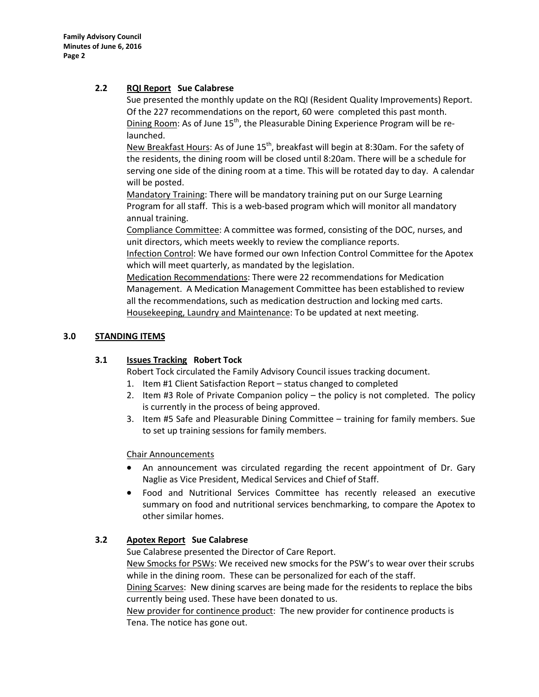# **2.2 RQI Report Sue Calabrese**

Sue presented the monthly update on the RQI (Resident Quality Improvements) Report. Of the 227 recommendations on the report, 60 were completed this past month. Dining Room: As of June  $15<sup>th</sup>$ , the Pleasurable Dining Experience Program will be relaunched.

New Breakfast Hours: As of June  $15<sup>th</sup>$ , breakfast will begin at 8:30am. For the safety of the residents, the dining room will be closed until 8:20am. There will be a schedule for serving one side of the dining room at a time. This will be rotated day to day. A calendar will be posted.

Mandatory Training: There will be mandatory training put on our Surge Learning Program for all staff. This is a web-based program which will monitor all mandatory annual training.

Compliance Committee: A committee was formed, consisting of the DOC, nurses, and unit directors, which meets weekly to review the compliance reports.

Infection Control: We have formed our own Infection Control Committee for the Apotex which will meet quarterly, as mandated by the legislation.

Medication Recommendations: There were 22 recommendations for Medication Management. A Medication Management Committee has been established to review all the recommendations, such as medication destruction and locking med carts. Housekeeping, Laundry and Maintenance: To be updated at next meeting.

# **3.0 STANDING ITEMS**

# **3.1 Issues Tracking Robert Tock**

Robert Tock circulated the Family Advisory Council issues tracking document.

- 1. Item #1 Client Satisfaction Report status changed to completed
- 2. Item #3 Role of Private Companion policy the policy is not completed. The policy is currently in the process of being approved.
- 3. Item #5 Safe and Pleasurable Dining Committee training for family members. Sue to set up training sessions for family members.

# Chair Announcements

- An announcement was circulated regarding the recent appointment of Dr. Gary Naglie as Vice President, Medical Services and Chief of Staff.
- Food and Nutritional Services Committee has recently released an executive summary on food and nutritional services benchmarking, to compare the Apotex to other similar homes.

# **3.2 Apotex Report Sue Calabrese**

Sue Calabrese presented the Director of Care Report.

New Smocks for PSWs: We received new smocks for the PSW's to wear over their scrubs while in the dining room. These can be personalized for each of the staff.

Dining Scarves: New dining scarves are being made for the residents to replace the bibs currently being used. These have been donated to us.

New provider for continence product: The new provider for continence products is Tena. The notice has gone out.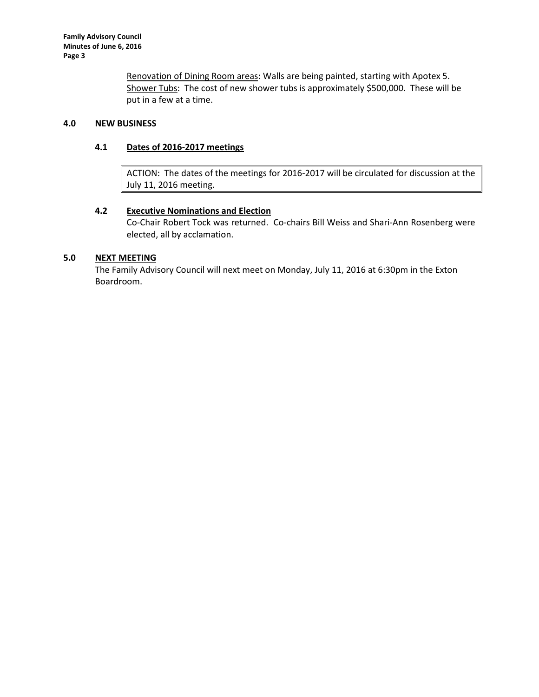Renovation of Dining Room areas: Walls are being painted, starting with Apotex 5. Shower Tubs: The cost of new shower tubs is approximately \$500,000. These will be put in a few at a time.

# **4.0 NEW BUSINESS**

# **4.1 Dates of 2016-2017 meetings**

ACTION: The dates of the meetings for 2016-2017 will be circulated for discussion at the July 11, 2016 meeting.

# **4.2 Executive Nominations and Election**

Co-Chair Robert Tock was returned. Co-chairs Bill Weiss and Shari-Ann Rosenberg were elected, all by acclamation.

# **5.0 NEXT MEETING**

The Family Advisory Council will next meet on Monday, July 11, 2016 at 6:30pm in the Exton Boardroom.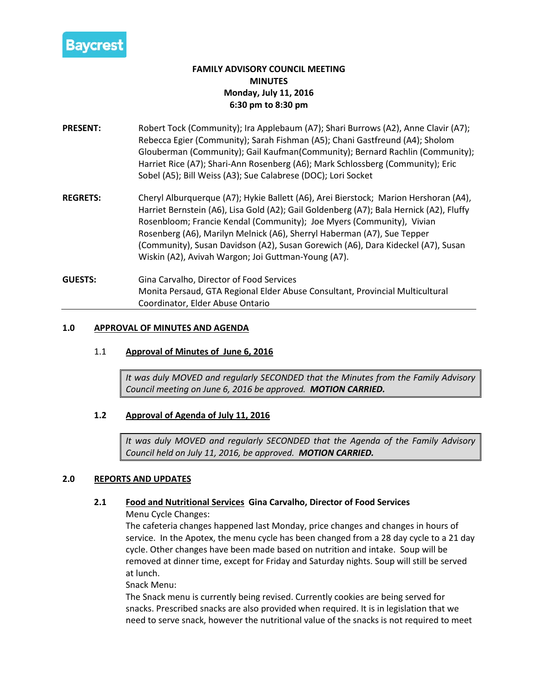

# **FAMILY ADVISORY COUNCIL MEETING MINUTES Monday, July 11, 2016 6:30 pm to 8:30 pm**

- **PRESENT:** Robert Tock (Community); Ira Applebaum (A7); Shari Burrows (A2), Anne Clavir (A7); Rebecca Egier (Community); Sarah Fishman (A5); Chani Gastfreund (A4); Sholom Glouberman (Community); Gail Kaufman(Community); Bernard Rachlin (Community); Harriet Rice (A7); Shari-Ann Rosenberg (A6); Mark Schlossberg (Community); Eric Sobel (A5); Bill Weiss (A3); Sue Calabrese (DOC); Lori Socket
- **REGRETS:** Cheryl Alburquerque (A7); Hykie Ballett (A6), Arei Bierstock; Marion Hershoran (A4), Harriet Bernstein (A6), Lisa Gold (A2); Gail Goldenberg (A7); Bala Hernick (A2), Fluffy Rosenbloom; Francie Kendal (Community); Joe Myers (Community), Vivian Rosenberg (A6), Marilyn Melnick (A6), Sherryl Haberman (A7), Sue Tepper (Community), Susan Davidson (A2), Susan Gorewich (A6), Dara Kideckel (A7), Susan Wiskin (A2), Avivah Wargon; Joi Guttman-Young (A7).
- **GUESTS:** Gina Carvalho, Director of Food Services Monita Persaud, GTA Regional Elder Abuse Consultant, Provincial Multicultural Coordinator, Elder Abuse Ontario

### **1.0 APPROVAL OF MINUTES AND AGENDA**

# 1.1 **Approval of Minutes of June 6, 2016**

*It was duly MOVED and regularly SECONDED that the Minutes from the Family Advisory Council meeting on June 6, 2016 be approved. MOTION CARRIED.*

# **1.2 Approval of Agenda of July 11, 2016**

*It was duly MOVED and regularly SECONDED that the Agenda of the Family Advisory Council held on July 11, 2016, be approved. MOTION CARRIED.*

# **2.0 REPORTS AND UPDATES**

# **2.1 Food and Nutritional Services Gina Carvalho, Director of Food Services**

Menu Cycle Changes:

The cafeteria changes happened last Monday, price changes and changes in hours of service. In the Apotex, the menu cycle has been changed from a 28 day cycle to a 21 day cycle. Other changes have been made based on nutrition and intake. Soup will be removed at dinner time, except for Friday and Saturday nights. Soup will still be served at lunch.

Snack Menu:

The Snack menu is currently being revised. Currently cookies are being served for snacks. Prescribed snacks are also provided when required. It is in legislation that we need to serve snack, however the nutritional value of the snacks is not required to meet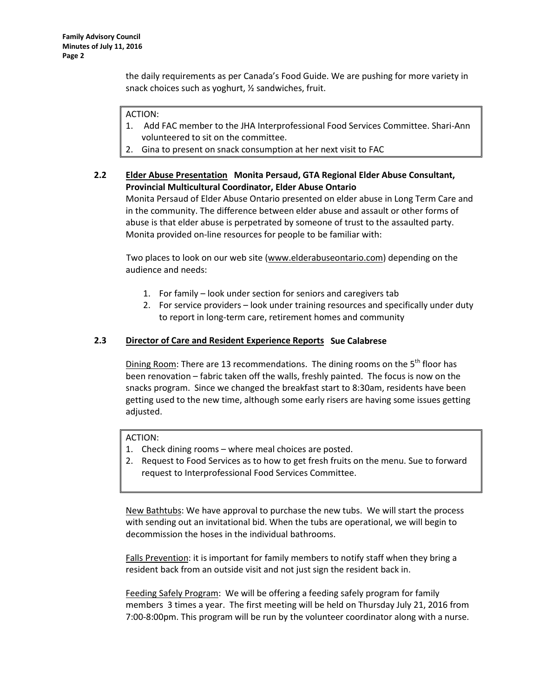the daily requirements as per Canada's Food Guide. We are pushing for more variety in snack choices such as yoghurt, ½ sandwiches, fruit.

### ACTION:

- 1. Add FAC member to the JHA Interprofessional Food Services Committee. Shari-Ann volunteered to sit on the committee.
- 2. Gina to present on snack consumption at her next visit to FAC

# **2.2 Elder Abuse Presentation Monita Persaud, GTA Regional Elder Abuse Consultant, Provincial Multicultural Coordinator, Elder Abuse Ontario**

Monita Persaud of Elder Abuse Ontario presented on elder abuse in Long Term Care and in the community. The difference between elder abuse and assault or other forms of abuse is that elder abuse is perpetrated by someone of trust to the assaulted party. Monita provided on-line resources for people to be familiar with:

Two places to look on our web site [\(www.elderabuseontario.com\)](http://www.elderabuseontario.com/) depending on the audience and needs:

- 1. For family look under section for seniors and caregivers tab
- 2. For service providers look under training resources and specifically under duty to report in long-term care, retirement homes and community

### **2.3 Director of Care and Resident Experience Reports Sue Calabrese**

Dining Room: There are 13 recommendations. The dining rooms on the  $5<sup>th</sup>$  floor has been renovation – fabric taken off the walls, freshly painted. The focus is now on the snacks program. Since we changed the breakfast start to 8:30am, residents have been getting used to the new time, although some early risers are having some issues getting adjusted.

#### ACTION:

- 1. Check dining rooms where meal choices are posted.
- 2. Request to Food Services as to how to get fresh fruits on the menu. Sue to forward request to Interprofessional Food Services Committee.

New Bathtubs: We have approval to purchase the new tubs. We will start the process with sending out an invitational bid. When the tubs are operational, we will begin to decommission the hoses in the individual bathrooms.

Falls Prevention: it is important for family members to notify staff when they bring a resident back from an outside visit and not just sign the resident back in.

Feeding Safely Program: We will be offering a feeding safely program for family members 3 times a year. The first meeting will be held on Thursday July 21, 2016 from 7:00-8:00pm. This program will be run by the volunteer coordinator along with a nurse.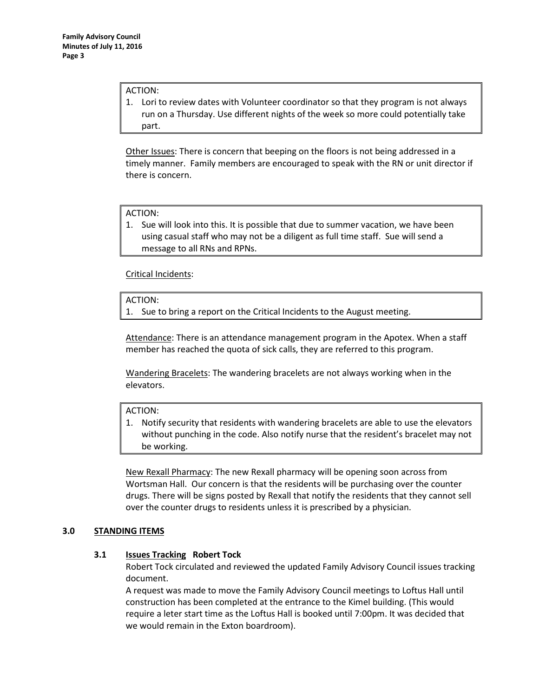#### ACTION:

1. Lori to review dates with Volunteer coordinator so that they program is not always run on a Thursday. Use different nights of the week so more could potentially take part.

Other Issues: There is concern that beeping on the floors is not being addressed in a timely manner. Family members are encouraged to speak with the RN or unit director if there is concern.

#### ACTION:

1. Sue will look into this. It is possible that due to summer vacation, we have been using casual staff who may not be a diligent as full time staff. Sue will send a message to all RNs and RPNs.

Critical Incidents:

ACTION:

1. Sue to bring a report on the Critical Incidents to the August meeting.

Attendance: There is an attendance management program in the Apotex. When a staff member has reached the quota of sick calls, they are referred to this program.

Wandering Bracelets: The wandering bracelets are not always working when in the elevators.

#### ACTION:

1. Notify security that residents with wandering bracelets are able to use the elevators without punching in the code. Also notify nurse that the resident's bracelet may not be working.

New Rexall Pharmacy: The new Rexall pharmacy will be opening soon across from Wortsman Hall. Our concern is that the residents will be purchasing over the counter drugs. There will be signs posted by Rexall that notify the residents that they cannot sell over the counter drugs to residents unless it is prescribed by a physician.

# **3.0 STANDING ITEMS**

# **3.1 Issues Tracking Robert Tock**

Robert Tock circulated and reviewed the updated Family Advisory Council issues tracking document.

A request was made to move the Family Advisory Council meetings to Loftus Hall until construction has been completed at the entrance to the Kimel building. (This would require a leter start time as the Loftus Hall is booked until 7:00pm. It was decided that we would remain in the Exton boardroom).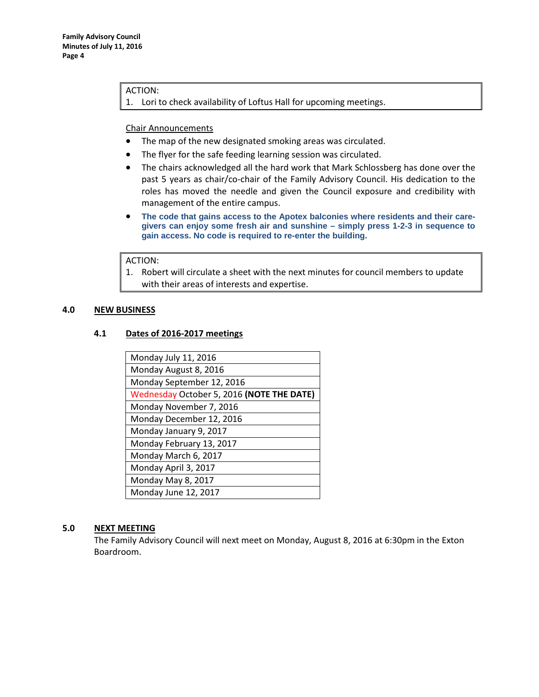#### ACTION:

1. Lori to check availability of Loftus Hall for upcoming meetings.

#### Chair Announcements

- The map of the new designated smoking areas was circulated.
- The flyer for the safe feeding learning session was circulated.
- The chairs acknowledged all the hard work that Mark Schlossberg has done over the past 5 years as chair/co-chair of the Family Advisory Council. His dedication to the roles has moved the needle and given the Council exposure and credibility with management of the entire campus.
- **The code that gains access to the Apotex balconies where residents and their caregivers can enjoy some fresh air and sunshine – simply press 1-2-3 in sequence to gain access. No code is required to re-enter the building.**

### ACTION:

1. Robert will circulate a sheet with the next minutes for council members to update with their areas of interests and expertise.

# **4.0 NEW BUSINESS**

# **4.1 Dates of 2016-2017 meetings**

| Monday July 11, 2016                      |
|-------------------------------------------|
| Monday August 8, 2016                     |
| Monday September 12, 2016                 |
| Wednesday October 5, 2016 (NOTE THE DATE) |
| Monday November 7, 2016                   |
| Monday December 12, 2016                  |
| Monday January 9, 2017                    |
| Monday February 13, 2017                  |
| Monday March 6, 2017                      |
| Monday April 3, 2017                      |
| Monday May 8, 2017                        |
| Monday June 12, 2017                      |

# **5.0 NEXT MEETING**

The Family Advisory Council will next meet on Monday, August 8, 2016 at 6:30pm in the Exton Boardroom.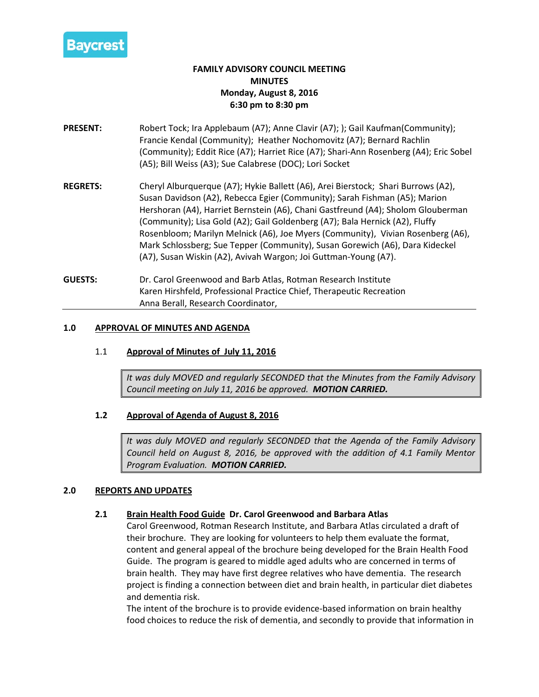

# **FAMILY ADVISORY COUNCIL MEETING MINUTES Monday, August 8, 2016 6:30 pm to 8:30 pm**

- **PRESENT:** Robert Tock; Ira Applebaum (A7); Anne Clavir (A7); ); Gail Kaufman(Community); Francie Kendal (Community); Heather Nochomovitz (A7); Bernard Rachlin (Community); Eddit Rice (A7); Harriet Rice (A7); Shari-Ann Rosenberg (A4); Eric Sobel (A5); Bill Weiss (A3); Sue Calabrese (DOC); Lori Socket
- **REGRETS:** Cheryl Alburquerque (A7); Hykie Ballett (A6), Arei Bierstock; Shari Burrows (A2), Susan Davidson (A2), Rebecca Egier (Community); Sarah Fishman (A5); Marion Hershoran (A4), Harriet Bernstein (A6), Chani Gastfreund (A4); Sholom Glouberman (Community); Lisa Gold (A2); Gail Goldenberg (A7); Bala Hernick (A2), Fluffy Rosenbloom; Marilyn Melnick (A6), Joe Myers (Community), Vivian Rosenberg (A6), Mark Schlossberg; Sue Tepper (Community), Susan Gorewich (A6), Dara Kideckel (A7), Susan Wiskin (A2), Avivah Wargon; Joi Guttman-Young (A7).
- **GUESTS:** Dr. Carol Greenwood and Barb Atlas, Rotman Research Institute Karen Hirshfeld, Professional Practice Chief, Therapeutic Recreation Anna Berall, Research Coordinator,

### **1.0 APPROVAL OF MINUTES AND AGENDA**

### 1.1 **Approval of Minutes of July 11, 2016**

*It was duly MOVED and regularly SECONDED that the Minutes from the Family Advisory Council meeting on July 11, 2016 be approved. MOTION CARRIED.*

# **1.2 Approval of Agenda of August 8, 2016**

*It was duly MOVED and regularly SECONDED that the Agenda of the Family Advisory Council held on August 8, 2016, be approved with the addition of 4.1 Family Mentor Program Evaluation. MOTION CARRIED.*

# **2.0 REPORTS AND UPDATES**

# **2.1 Brain Health Food Guide Dr. Carol Greenwood and Barbara Atlas**

Carol Greenwood, Rotman Research Institute, and Barbara Atlas circulated a draft of their brochure. They are looking for volunteers to help them evaluate the format, content and general appeal of the brochure being developed for the Brain Health Food Guide. The program is geared to middle aged adults who are concerned in terms of brain health. They may have first degree relatives who have dementia. The research project is finding a connection between diet and brain health, in particular diet diabetes and dementia risk.

The intent of the brochure is to provide evidence-based information on brain healthy food choices to reduce the risk of dementia, and secondly to provide that information in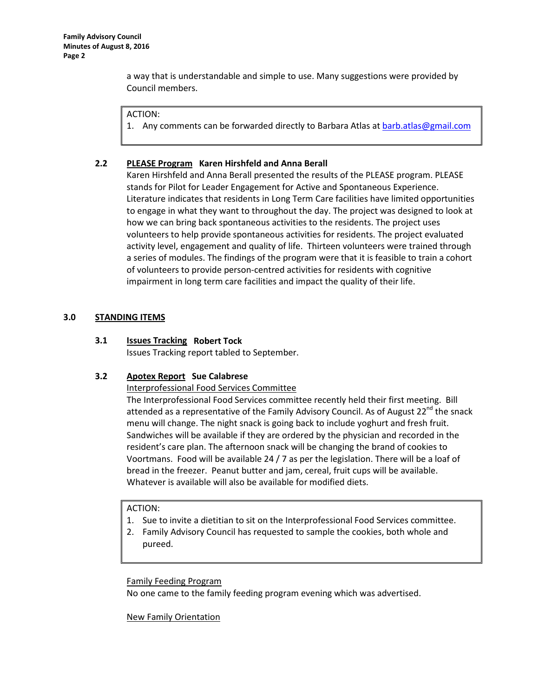a way that is understandable and simple to use. Many suggestions were provided by Council members.

#### ACTION:

1. Any comments can be forwarded directly to Barbara Atlas a[t barb.atlas@gmail.com](mailto:barb.atlas@gmail.com)

### **2.2 PLEASE Program Karen Hirshfeld and Anna Berall**

Karen Hirshfeld and Anna Berall presented the results of the PLEASE program. PLEASE stands for Pilot for Leader Engagement for Active and Spontaneous Experience. Literature indicates that residents in Long Term Care facilities have limited opportunities to engage in what they want to throughout the day. The project was designed to look at how we can bring back spontaneous activities to the residents. The project uses volunteers to help provide spontaneous activities for residents. The project evaluated activity level, engagement and quality of life. Thirteen volunteers were trained through a series of modules. The findings of the program were that it is feasible to train a cohort of volunteers to provide person-centred activities for residents with cognitive impairment in long term care facilities and impact the quality of their life.

### **3.0 STANDING ITEMS**

### **3.1 Issues Tracking Robert Tock**

Issues Tracking report tabled to September.

# **3.2 Apotex Report Sue Calabrese**

Interprofessional Food Services Committee

The Interprofessional Food Services committee recently held their first meeting. Bill attended as a representative of the Family Advisory Council. As of August  $22^{nd}$  the snack menu will change. The night snack is going back to include yoghurt and fresh fruit. Sandwiches will be available if they are ordered by the physician and recorded in the resident's care plan. The afternoon snack will be changing the brand of cookies to Voortmans. Food will be available 24 / 7 as per the legislation. There will be a loaf of bread in the freezer. Peanut butter and jam, cereal, fruit cups will be available. Whatever is available will also be available for modified diets.

#### ACTION:

- 1. Sue to invite a dietitian to sit on the Interprofessional Food Services committee.
- 2. Family Advisory Council has requested to sample the cookies, both whole and pureed.

#### Family Feeding Program

No one came to the family feeding program evening which was advertised.

# New Family Orientation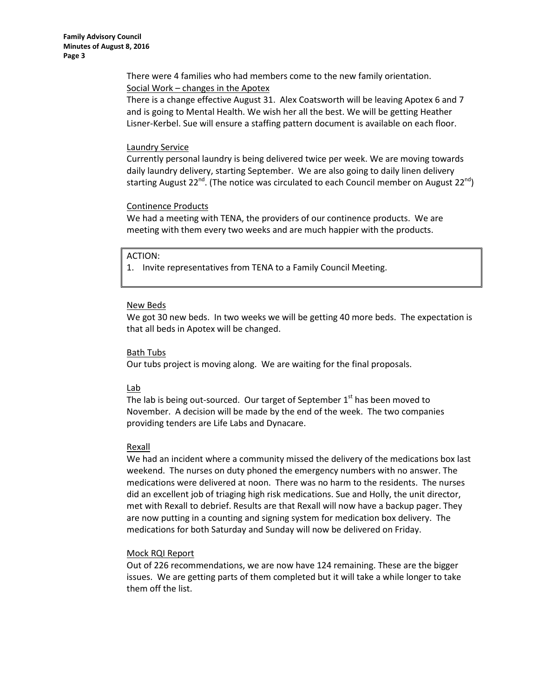There were 4 families who had members come to the new family orientation. Social Work – changes in the Apotex

There is a change effective August 31. Alex Coatsworth will be leaving Apotex 6 and 7 and is going to Mental Health. We wish her all the best. We will be getting Heather Lisner-Kerbel. Sue will ensure a staffing pattern document is available on each floor.

#### **Laundry Service**

Currently personal laundry is being delivered twice per week. We are moving towards daily laundry delivery, starting September. We are also going to daily linen delivery starting August 22<sup>nd</sup>. (The notice was circulated to each Council member on August 22<sup>nd</sup>)

#### Continence Products

We had a meeting with TENA, the providers of our continence products. We are meeting with them every two weeks and are much happier with the products.

#### ACTION:

1. Invite representatives from TENA to a Family Council Meeting.

#### New Beds

We got 30 new beds. In two weeks we will be getting 40 more beds. The expectation is that all beds in Apotex will be changed.

#### Bath Tubs

Our tubs project is moving along. We are waiting for the final proposals.

#### Lab

The lab is being out-sourced. Our target of September  $1<sup>st</sup>$  has been moved to November. A decision will be made by the end of the week. The two companies providing tenders are Life Labs and Dynacare.

#### Rexall

We had an incident where a community missed the delivery of the medications box last weekend. The nurses on duty phoned the emergency numbers with no answer. The medications were delivered at noon. There was no harm to the residents. The nurses did an excellent job of triaging high risk medications. Sue and Holly, the unit director, met with Rexall to debrief. Results are that Rexall will now have a backup pager. They are now putting in a counting and signing system for medication box delivery. The medications for both Saturday and Sunday will now be delivered on Friday.

#### Mock RQI Report

Out of 226 recommendations, we are now have 124 remaining. These are the bigger issues. We are getting parts of them completed but it will take a while longer to take them off the list.